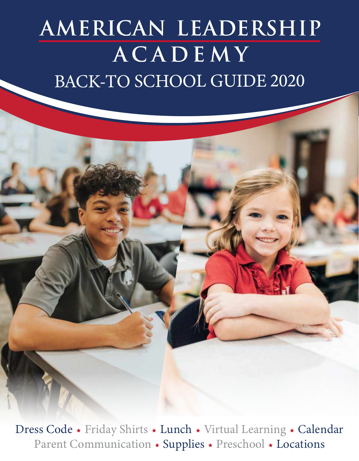## AMERICAN LEADERSHIP ACADEMY BACK-TO SCHOOL GUIDE 2020

Dress Code \* Friday Shirts \* Lunch \* Virtual Learning \* Calendar Parent Communication \* Supplies \* Preschool \* Locations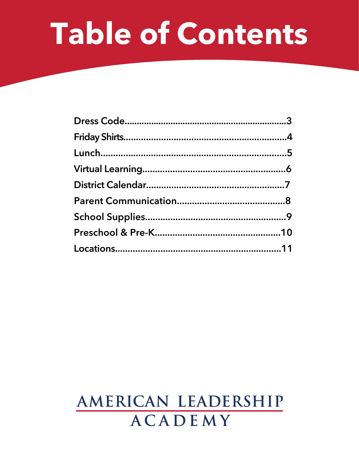# Table of Contents

### AMERICAN LEADERSHIP **ACADEMY**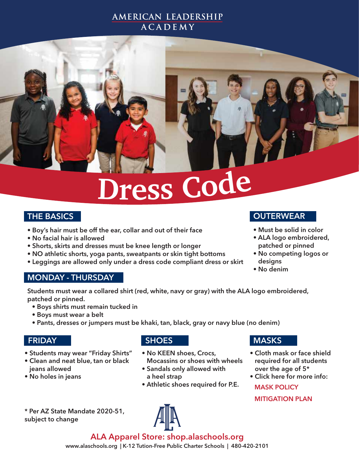#### AMERICAN LEADERSHIP **ACADEMY**

# **Dres<sup>s</sup> Cod<sup>e</sup>**

#### THE BASICS

- Boy's hair must be off the ear, collar and out of their face
- No facial hair is allowed
- Shorts, skirts and dresses must be knee length or longer
- NO athletic shorts, yoga pants, sweatpants or skin tight bottoms
- Leggings are allowed only under a dress code compliant dress or skirt

#### MONDAY - THURSDAY

Students must wear a collared shirt (red, white, navy or gray) with the ALA logo embroidered, patched or pinned.

- Boys shirts must remain tucked in
- Boys must wear a belt
- Pants, dresses or jumpers must be khaki, tan, black, gray or navy blue (no denim)

#### FRIDAY

- Students may wear "Friday Shirts"
- Clean and neat blue, tan or black jeans allowed
- No holes in jeans

#### **SHOES**

- No KEEN shoes, Crocs, Mocassins or shoes with wheels
- Sandals only allowed with a heel strap
- Athletic shoes required for P.E.

#### \* Per AZ State Mandate 2020-51, subject to change

#### **MASKS**

- Cloth mask or face shield required for all students over the age of 5\*
- Click here for more info: [MASK POLICY](https://resources.finalsite.net/images/v1597195000/alaschoolsorg/sj1fjhabkzoqqmxhyqz5/ALACOVID01PandemicMaskPolicy8112020.pdf)

[MITIGATION PLAN](https://resources.finalsite.net/images/v1597195000/alaschoolsorg/jdlkzsu7jhgfugte365k/ALA-COVID_MitigationPlan2020.pdf)

**OUTERWEAR** 

- Must be solid in color
- ALA logo embroidered, patched or pinned
- No competing logos or designs
- No denim

[ALA Apparel Store: shop.alaschools.org](http://shop.alaschools.org/ala_apparel_shop/shop/home)

www.alaschools.org | K-12 Tution-Free Public Charter Schools | 480-420-2101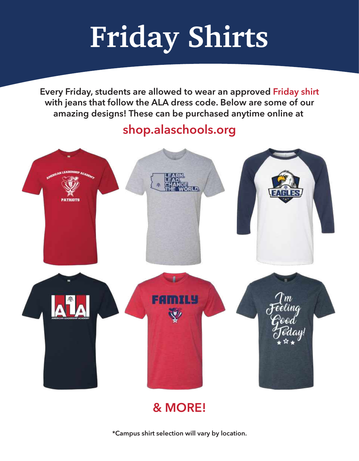# **Friday Shirts**

Every Friday, students are allowed to wear an approved Friday shirt with jeans that follow the ALA dress code. Below are some of our amazing designs! These can be purchased anytime online at

### [shop.alaschools.org](http://shop.alaschools.org/ala_apparel_shop/shop/home)



### & MORE!

\*Campus shirt selection will vary by location.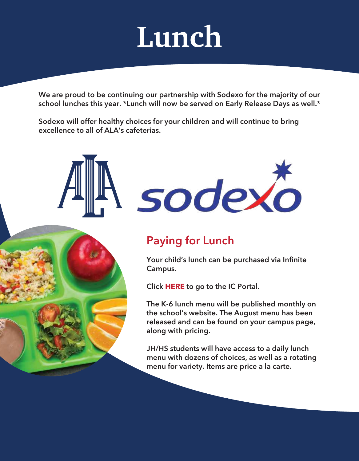# **Lunch**

We are proud to be continuing our partnership with Sodexo for the majority of our school lunches this year. \*Lunch will now be served on Early Release Days as well.\*

Sodexo will offer healthy choices for your children and will continue to bring excellence to all of ALA's cafeterias.

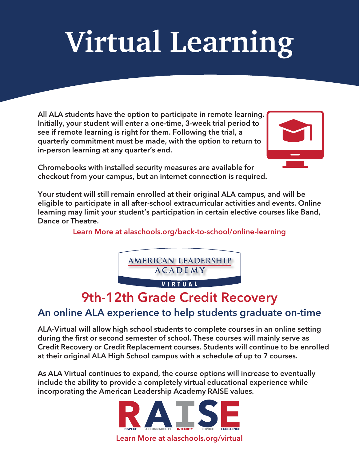# **Virtual Learning**

All ALA students have the option to participate in remote learning. Initially, your student will enter a one-time, 3-week trial period to see if remote learning is right for them. Following the trial, a quarterly commitment must be made, with the option to return to in-person learning at any quarter's end.



Chromebooks with installed security measures are available for checkout from your campus, but an internet connection is required.

Your student will still remain enrolled at their original ALA campus, and will be eligible to participate in all after-school extracurricular activities and events. Online learning may limit your student's participation in certain elective courses like Band, Dance or Theatre.

Learn More at<alaschools.org/back-to-school/online-learning>



### 9th-12th Grade Credit Recovery

### An online ALA experience to help students graduate on-time

ALA-Virtual will allow high school students to complete courses in an online setting during the first or second semester of school. These courses will mainly serve as Credit Recovery or Credit Replacement courses. Students will continue to be enrolled at their original ALA High School campus with a schedule of up to 7 courses.

As ALA Virtual continues to expand, the course options will increase to eventually include the ability to provide a completely virtual educational experience while incorporating the American Leadership Academy RAISE values.

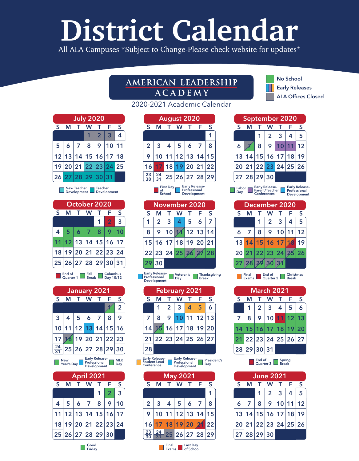# **District Calendar**

All ALA Campuses \*Subject to Change-Please check website for updates\*

### AMERICAN LEADERSHIP **ACADEMY**

2020-2021 Academic Calendar

## No School

ALA Offices Closed Early Releases

|   | <b>July 2020</b>     |            |                |                         |       |   |  |  |  |  |
|---|----------------------|------------|----------------|-------------------------|-------|---|--|--|--|--|
| S | м                    | T.         | W              | T.                      | ĨF    | S |  |  |  |  |
|   |                      |            |                | $\overline{\mathbf{2}}$ | 3     | 4 |  |  |  |  |
| 5 |                      | $6 \mid 7$ | 8 <sup>°</sup> | 9                       | 10 11 |   |  |  |  |  |
|   | 12 13 14 15 16 17 18 |            |                |                         |       |   |  |  |  |  |
|   | 19 20 21 22 23 24 25 |            |                |                         |       |   |  |  |  |  |
|   | 26 27 28 29 30       |            |                |                         | 31    |   |  |  |  |  |

New Teacher **III** Teacher<br>Development **III** Development

| October 2020 |  |     |                                                            |   |                |    |  |  |  |  |
|--------------|--|-----|------------------------------------------------------------|---|----------------|----|--|--|--|--|
| S            |  | т.  | W                                                          |   | F              | S  |  |  |  |  |
|              |  |     |                                                            | 1 | $\overline{2}$ | 3  |  |  |  |  |
| 4            |  | 567 |                                                            | 8 | 9              |    |  |  |  |  |
|              |  |     | 12 13 14 15 16 17                                          |   |                |    |  |  |  |  |
| 18           |  |     | 19 20 21 22 23                                             |   |                | 24 |  |  |  |  |
|              |  |     | $\bm{ }25\bm{ }26\bm{ }27\bm{ }28\bm{ }29\bm{ }30\bm{ }31$ |   |                |    |  |  |  |  |
|              |  |     |                                                            |   |                |    |  |  |  |  |

End of **Fall Break B** Columbus<br>Quarter 1 Break **B** Day 10/12

| January 2021    |                   |              |               |               |   |                |  |  |  |
|-----------------|-------------------|--------------|---------------|---------------|---|----------------|--|--|--|
| S               | М                 | $\mathbf{T}$ | W             | T             | F | S              |  |  |  |
|                 |                   |              |               |               |   | $\overline{2}$ |  |  |  |
| $\overline{3}$  | $\overline{4}$    |              | 5 6 7         |               | 8 | 9              |  |  |  |
|                 | 10 11 12 13 14 15 |              |               |               |   | 16             |  |  |  |
| 17              |                   |              | 8 19 20 21 22 |               |   | 23             |  |  |  |
| $\frac{24}{31}$ | 25 26 27 28 29 30 |              |               |               |   |                |  |  |  |
|                 |                   |              |               | Farly Polonco |   |                |  |  |  |

| New<br>Year's Day | Early Release-<br>Professional <b>DRAM</b><br><b>Development</b> | $\Box$ Dav |
|-------------------|------------------------------------------------------------------|------------|
|                   | <b>April 2021</b>                                                |            |

| S  | м              |                | W              |                   | F | S  |  |  |  |  |
|----|----------------|----------------|----------------|-------------------|---|----|--|--|--|--|
|    |                |                |                |                   | 2 | 3  |  |  |  |  |
| 4  | 5 <sup>1</sup> | 6 <sup>1</sup> | $\overline{7}$ | 8                 | 9 | 10 |  |  |  |  |
|    |                |                |                | 12 13 14 15 16    |   | 17 |  |  |  |  |
| 18 |                |                |                | 19 20 21 22 23    |   | 24 |  |  |  |  |
|    |                |                |                | 25 26 27 28 29 30 |   |    |  |  |  |  |

| <b>August 2020</b> |                |    |                   |             |  |   |  |  |  |
|--------------------|----------------|----|-------------------|-------------|--|---|--|--|--|
| S                  |                |    | W                 |             |  | S |  |  |  |
|                    |                |    |                   |             |  |   |  |  |  |
| $\overline{2}$     | 3 <sup>1</sup> |    | $4 \mid 5 \mid 6$ |             |  | 8 |  |  |  |
| 9                  |                |    | 10 11 12 13 14 15 |             |  |   |  |  |  |
|                    |                | 18 |                   | 19 20 21 22 |  |   |  |  |  |

| $\overline{31}$ |                            |                                    | 25 26 27 28 29        |  |
|-----------------|----------------------------|------------------------------------|-----------------------|--|
|                 | <b>First Day</b><br>School | Professional<br><b>Development</b> | <b>Early Release-</b> |  |

23 30

Г

| November 2020 |    |                      |  |                  |   |    |  |  |
|---------------|----|----------------------|--|------------------|---|----|--|--|
| S             |    |                      |  |                  | F | S  |  |  |
|               | 2  | $\mathbf{3}$         |  | 5                | 6 |    |  |  |
| 8             | 9  | 10                   |  | $\frac{1}{2}$ 13 |   | 14 |  |  |
|               |    | 15 16 17 18 19 20 21 |  |                  |   |    |  |  |
|               |    | 22 23 24 25 26 27    |  |                  |   | 28 |  |  |
|               | 30 |                      |  |                  |   |    |  |  |

| Professional<br><b>Development</b> | $\Box$ Dav | Early Release- Veteran's Thanksgiving<br>$\Box$ Break |  |
|------------------------------------|------------|-------------------------------------------------------|--|

| <b>February 2021</b> |   |                   |   |          |   |    |  |  |  |  |
|----------------------|---|-------------------|---|----------|---|----|--|--|--|--|
| S                    |   |                   |   |          | F | S  |  |  |  |  |
|                      |   | $\overline{2}$    | 3 | 4        | 5 | 6  |  |  |  |  |
| 7                    | 8 | 9                 |   | 10 11 12 |   | 13 |  |  |  |  |
| 14                   |   | 16 17 18 19 20    |   |          |   |    |  |  |  |  |
| 21                   |   | 22 23 24 25 26 27 |   |          |   |    |  |  |  |  |
| 28                   |   |                   |   |          |   |    |  |  |  |  |

Early Release-Professional Development Early Release-Student Lead Conference President's Day

| <b>May 2021</b>                                |    |    |       |             |    |    |  |  |  |
|------------------------------------------------|----|----|-------|-------------|----|----|--|--|--|
| S                                              |    |    |       |             | F  | S  |  |  |  |
|                                                |    |    |       |             |    |    |  |  |  |
| $\overline{2}$                                 | 3  | 4  | 5     | 6           |    | 8  |  |  |  |
| 9                                              | 10 | 11 | 12    | 13          | 14 | 15 |  |  |  |
| 16                                             |    | 18 | 19 20 |             |    | 22 |  |  |  |
| 23                                             | 24 |    |       | 25 26 27 28 |    | 29 |  |  |  |
| Final<br><b>Last Day</b><br>of School<br>Exams |    |    |       |             |    |    |  |  |  |

| <b>September 2020</b>                                                                                                     |    |    |                |       |          |    |
|---------------------------------------------------------------------------------------------------------------------------|----|----|----------------|-------|----------|----|
| S                                                                                                                         | м  |    | W              |       | F        | S  |
|                                                                                                                           |    | 1  | $\overline{2}$ | 3     | 4        | 5  |
| 6                                                                                                                         |    | 8  | 9              | 10    | 11       | 12 |
| 13                                                                                                                        | 14 | 15 |                | 16 17 | 18       | 19 |
| 20                                                                                                                        | 21 |    | 22 23          |       | 24 25 26 |    |
| 27 28 29 30                                                                                                               |    |    |                |       |          |    |
| Early Release-<br>Parent/Teacher<br><b>Early Releas</b><br>Labor<br>Professiona<br>Day<br><b>Conferences</b><br>Developme |    |    |                |       |          |    |

| r | <b>Early Release-</b><br>Professional<br>Development |
|---|------------------------------------------------------|
|   |                                                      |

| December 2020 |             |                  |                |                      |                |                |
|---------------|-------------|------------------|----------------|----------------------|----------------|----------------|
| S             | м           |                  | W              |                      | -F.            | $\overline{S}$ |
|               |             |                  | 2 <sup>1</sup> | $\mathbf{3}$         | $\overline{4}$ | 5              |
|               | $6 \mid 7$  | $\boldsymbol{8}$ |                | 9 10 11              |                | 12             |
|               |             |                  |                | 13 14 15 16 17       | 16             | 19             |
|               |             |                  |                | 20 21 22 23 24 25 26 |                |                |
|               | 27 28 29 30 |                  |                |                      |                |                |
|               |             |                  |                |                      |                |                |

Final End of Christmas<br>Exams Quarter 2 Break March 2021 S M T W T F S 1 2 3 4 5 6

|                      | <u>_</u> |                 |  |  |
|----------------------|----------|-----------------|--|--|
| $\overline{7}$       |          | 8 9 10 11 12 13 |  |  |
| 14 15 16 17 18 19 20 |          |                 |  |  |
| 21 22 23 24 25 26 27 |          |                 |  |  |
| 28 29 30 31          |          |                 |  |  |

End of Spring<br>Quarter 3 Break

| <b>June 2021</b> |   |             |                      |       |   |    |
|------------------|---|-------------|----------------------|-------|---|----|
| S                |   |             | W                    |       | F | S  |
|                  |   | 1           | $\overline{2}$       | 3     | 4 | 5  |
| 6                | 7 | 8           | 9                    | 10 11 |   | 12 |
|                  |   |             | 13 14 15 16 17 18    |       |   | 19 |
|                  |   |             | 20 21 22 23 24 25 26 |       |   |    |
|                  |   | 27 28 29 30 |                      |       |   |    |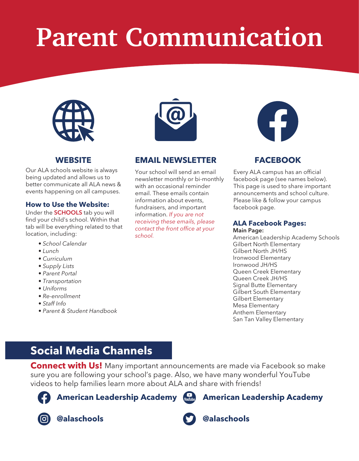# **Parent Communication**



Our ALA schools website is always being updated and allows us to better communicate all ALA news & events happening on all campuses.

#### **How to Use the Website:**

Under the **SCHOOLS** tab you will find your child's school. Within that tab will be everything related to that location, including:

- *School Calendar*
- *Lunch*
- *Curriculum*
- *Supply Lists*
- *Parent Portal*
- *Transportation*
- *Uniforms*
- *Re-enrollment*
- *Staff Info*
- *Parent & Student Handbook*



#### **[WEBSITE](alaschools.org) EMAIL NEWSLETTER**

Your school will send an email newsletter monthly or bi-monthly with an occasional reminder email. These emails contain information about events, fundraisers, and important information. *If you are not receiving these emails, please contact the front office at your school.*



#### **[FACEBOOK](https://www.facebook.com/ALASCHOOLS)**

Every ALA campus has an official facebook page (see names below). This page is used to share important announcements and school culture. Please like & follow your campus facebook page.

#### **ALA Facebook Pages:** Main Page:

[American Leadership Academy Schools](https://www.facebook.com/ALASCHOOLS/) [Gilbert North Elementary](https://www.facebook.com/ALAGILNE) [Gilbert North JH/HS](https://www.facebook.com/ALAGNHS) [Ironwood Elementary](https://www.facebook.com/ALAIWE) [Ironwood JH/HS](https://www.facebook.com/ALAIWHS) [Signal Butte Elementary](https://www.facebook.com/ALASBE) [Queen Creek Elementary](https://www.facebook.com/ALAQCE) [Queen Creek JH/HS](https://www.facebook.com/ALAQCHS) [Gilbert South Elementary](https://www.facebook.com/ALAGILSE) [Gilbert Elementary](https://www.facebook.com/ALAGILBERT) [Mesa Elementary](https://www.facebook.com/ALAMesaEl) [Anthem Elementary](https://www.facebook.com/ALAANTSOUTH) [San Tan Valley Elementary](https://www.facebook.com/ALASanTan)

### **Social Media Channels**

**Connect with Us!** Many important announcements are made via Facebook so make sure you are following your school's page. Also, we have many wonderful YouTube videos to help families learn more about ALA and share with friends!



**[American Leadership Academy](https://www.facebook.com/ALASCHOOLS/)** 



**[@alaschools](https://www.instagram.com/alaschools/)** 



**[@alaschools](https://twitter.com/alaschools)** 

**[American Leadership Academy](https://www.youtube.com/channel/UCHzuIRBLkNV0ykBFcdwC78A)**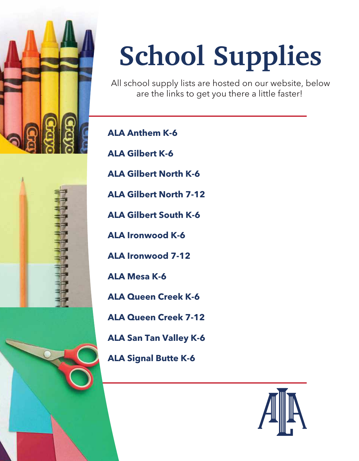

"我不要了。"

# **School Supplies**

All school supply lists are hosted on our website, below are the links to get you there a little faster!

**[ALA Anthem K-6](https://www.alaschools.org/anthem-south-k-6/parent-resources/supply-lists)**

**[ALA Gilbert K-6](https://www.alaschools.org/gilbert-k-6/parent-resources/supply-lists)**

**[ALA Gilbert North K-6](https://www.alaschools.org/gilbert-north-k-6/parent-resources/supply-lists)**

**[ALA Gilbert North 7-12](https://www.alaschools.org/gilbert-north-7-12/community-resources/supply-lists)**

**[ALA Gilbert South K-6](https://www.alaschools.org/gilbert-south-k-6/parent-resources/supply-lists)**

**[ALA Ironwood K-6](https://www.alaschools.org/ironwood-k-6/parent-resources/supply-lists)**

**[ALA Ironwood 7-12](https://www.alaschools.org/ironwood-7-12/community-resources/supply-lists)**

**[ALA Mesa K-6](https://www.alaschools.org/mesa-k-6/parent-resources/supply-lists)**

**[ALA Queen Creek K-6](https://www.alaschools.org/queen-creek-k-6/parent-resources/supply-lists)**

**[ALA Queen Creek 7-12](https://www.alaschools.org/queen-creek-7-12/community-resources/supply-lists)**

**[ALA San Tan Valley K-6](https://www.alaschools.org/san-tan-valley-k-6/parent-resources/supply-lists)**

**[ALA Signal Butte K-6](https://www.alaschools.org/signal-butte-k-6/parent-resources/supply-lists)**

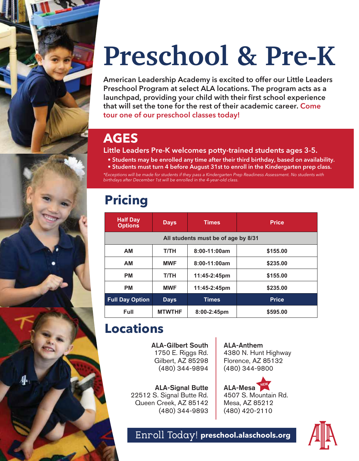# **Preschool & Pre-K**

American Leadership Academy is excited to offer our Little Leaders Preschool Program at select ALA locations. The program acts as a launchpad, providing your child with their first school experience that will set the tone for the rest of their academic career. Come tour one of our preschool classes today!

### **AGES**

Little Leaders Pre-K welcomes potty-trained students ages 3-5.

- Students may be enrolled any time after their third birthday, based on availability.
- Students must turn 4 before August 31st to enroll in the Kindergarten prep class.

*\*Exceptions will be made for students if they pass a Kindergarten Prep Readiness Assessment. No students with birthdays after December 1st will be enrolled in the 4-year-old class.* 

### **Pricing**

| <b>Half Day</b><br><b>Options</b>   | <b>Days</b>   | <b>Times</b> | <b>Price</b> |  |  |  |  |
|-------------------------------------|---------------|--------------|--------------|--|--|--|--|
| All students must be of age by 8/31 |               |              |              |  |  |  |  |
| <b>AM</b>                           | T/TH          | 8:00-11:00am | \$155.00     |  |  |  |  |
| <b>AM</b>                           | <b>MWF</b>    | 8:00-11:00am | \$235.00     |  |  |  |  |
| <b>PM</b>                           | T/TH          | 11:45-2:45pm | \$155.00     |  |  |  |  |
| <b>PM</b>                           | <b>MWF</b>    | 11:45-2:45pm | \$235.00     |  |  |  |  |
| <b>Full Day Option</b>              | <b>Days</b>   | Times        | <b>Price</b> |  |  |  |  |
| Full                                | <b>MTWTHF</b> | 8:00-2:45pm  | \$595.00     |  |  |  |  |

### **Locations**

 $4$ 

ALA-Gilbert South 1750 E. Riggs Rd. Gilbert, AZ 85298 (480) 344-9894

ALA-Signal Butte 22512 S. Signal Butte Rd. Queen Creek, AZ 85142 (480) 344-9893

ALA-Anthem 4380 N. Hunt Highway Florence, AZ 85132 (480) 344-9800

ALA-Mesa 4507 S. Mountain Rd. Mesa, AZ 85212 (480) 420-2110



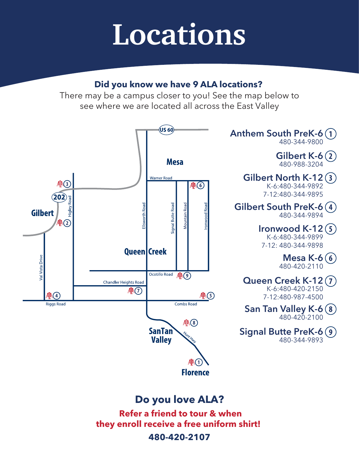# **Locations**

### **Did you know we have 9 ALA locations?**

There may be a campus closer to you! See the map below to see where we are located all across the East Valley



### **Do you love ALA?**

 **Refer a friend to tour & when they enroll receive a free uniform shirt!** 

**480-420-2107**